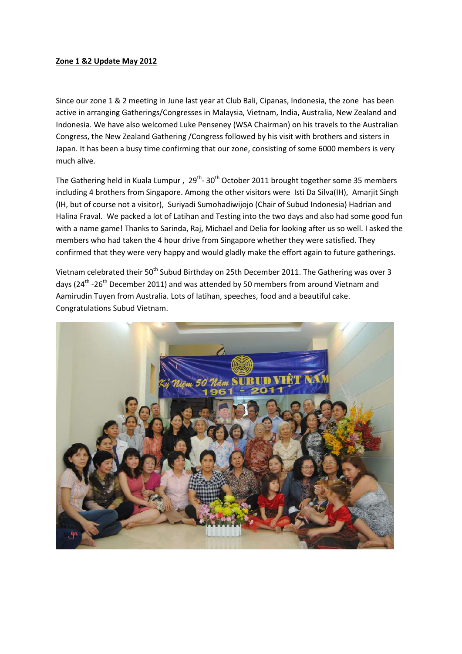## **Zone 1 &2 Update May 2012**

Since our zone 1 & 2 meeting in June last year at Club Bali, Cipanas, Indonesia, the zone has been active in arranging Gatherings/Congresses in Malaysia, Vietnam, India, Australia, New Zealand and Indonesia. We have also welcomed Luke Penseney (WSA Chairman) on his travels to the Australian Congress, the New Zealand Gathering /Congress followed by his visit with brothers and sisters in Japan. It has been a busy time confirming that our zone, consisting of some 6000 members is very much alive.

The Gathering held in Kuala Lumpur,  $29^{th}$ -  $30^{th}$  October 2011 brought together some 35 members including 4 brothers from Singapore. Among the other visitors were Isti Da Silva(IH), Amarjit Singh (IH, but of course not a visitor), Suriyadi Sumohadiwijojo (Chair of Subud Indonesia) Hadrian and Halina Fraval. We packed a lot of Latihan and Testing into the two days and also had some good fun with a name game! Thanks to Sarinda, Raj, Michael and Delia for looking after us so well. I asked the members who had taken the 4 hour drive from Singapore whether they were satisfied. They confirmed that they were very happy and would gladly make the effort again to future gatherings.

Vietnam celebrated their 50<sup>th</sup> Subud Birthday on 25th December 2011. The Gathering was over 3 days (24<sup>th</sup> -26<sup>th</sup> December 2011) and was attended by 50 members from around Vietnam and Aamirudin Tuyen from Australia. Lots of latihan, speeches, food and a beautiful cake. Congratulations Subud Vietnam.

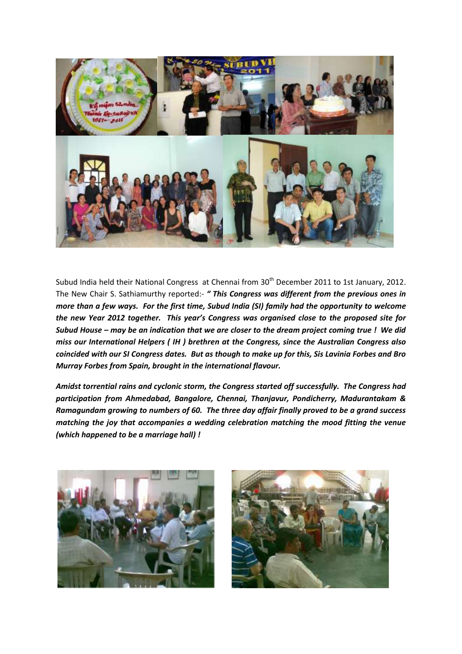

Subud India held their National Congress at Chennai from 30<sup>th</sup> December 2011 to 1st January, 2012. The New Chair S. Sathiamurthy reported:- *" This Congress was different from the previous ones in more than a few ways. For the first time, Subud India (SI) family had the opportunity to welcome the new Year 2012 together. This year's Congress was organised close to the proposed site for Subud House – may be an indication that we are closer to the dream project coming true ! We did miss our International Helpers ( IH ) brethren at the Congress, since the Australian Congress also coincided with our SI Congress dates. But as though to make up for this, Sis Lavinia Forbes and Bro Murray Forbes from Spain, brought in the international flavour.* 

*Amidst torrential rains and cyclonic storm, the Congress started off successfully. The Congress had participation from Ahmedabad, Bangalore, Chennai, Thanjavur, Pondicherry, Madurantakam & Ramagundam growing to numbers of 60. The three day affair finally proved to be a grand success matching the joy that accompanies a wedding celebration matching the mood fitting the venue (which happened to be a marriage hall) !*



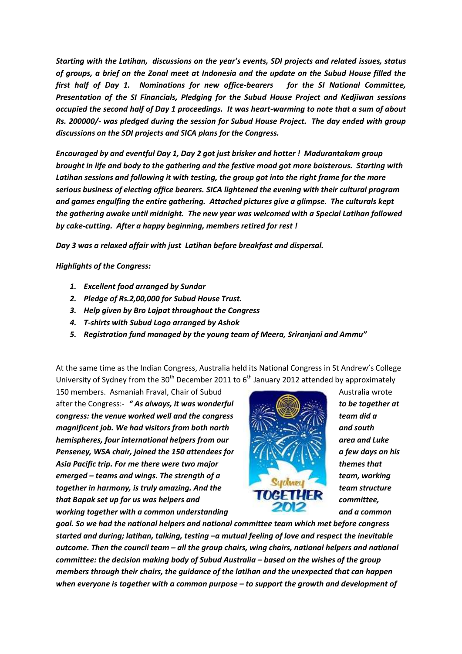*Starting with the Latihan, discussions on the year's events, SDI projects and related issues, status of groups, a brief on the Zonal meet at Indonesia and the update on the Subud House filled the first half of Day 1. Nominations for new office-bearers for the SI National Committee, Presentation of the SI Financials, Pledging for the Subud House Project and Kedjiwan sessions occupied the second half of Day 1 proceedings. It was heart-warming to note that a sum of about Rs. 200000/- was pledged during the session for Subud House Project. The day ended with group discussions on the SDI projects and SICA plans for the Congress.* 

*Encouraged by and eventful Day 1, Day 2 got just brisker and hotter ! Madurantakam group brought in life and body to the gathering and the festive mood got more boisterous. Starting with Latihan sessions and following it with testing, the group got into the right frame for the more serious business of electing office bearers. SICA lightened the evening with their cultural program and games engulfing the entire gathering. Attached pictures give a glimpse. The culturals kept the gathering awake until midnight. The new year was welcomed with a Special Latihan followed by cake-cutting. After a happy beginning, members retired for rest !*

*Day 3 was a relaxed affair with just Latihan before breakfast and dispersal.*

*Highlights of the Congress:*

- *1. Excellent food arranged by Sundar*
- *2. Pledge of Rs.2,00,000 for Subud House Trust.*
- *3. Help given by Bro Lajpat throughout the Congress*
- *4. T-shirts with Subud Logo arranged by Ashok*
- *5. Registration fund managed by the young team of Meera, Sriranjani and Ammu"*

At the same time as the Indian Congress, Australia held its National Congress in St Andrew's College University of Sydney from the 30<sup>th</sup> December 2011 to  $6<sup>th</sup>$  January 2012 attended by approximately

150 members. Asmaniah Fraval, Chair of Subud Australia wrote after the Congress:- "As always, it was wonderful **the set of the first of the together at** *congress: the venue worked well and the congress team did a magnificent job. We had visitors from both north and south hemispheres, four international helpers from our <b>area and Luke area and Luke area and Luke* **Penseney, WSA chair, joined the 150 attendees for <b>the state of the a** few days on his *Asia Pacific trip. For me there were two major themes that emerged – teams and wings. The strength of a* **team, working is the strength of a team, working is the strength of a team, working is the strength of a team, working is the strength of a team, working is the strength of a** *together in harmony, is truly amazing. And the team structure that Bapak set up for us was helpers and committee, working together with a common understanding* **<b>and a common and a common** 



*goal. So we had the national helpers and national committee team which met before congress started and during; latihan, talking, testing –a mutual feeling of love and respect the inevitable outcome. Then the council team – all the group chairs, wing chairs, national helpers and national committee: the decision making body of Subud Australia – based on the wishes of the group members through their chairs, the guidance of the latihan and the unexpected that can happen when everyone is together with a common purpose – to support the growth and development of*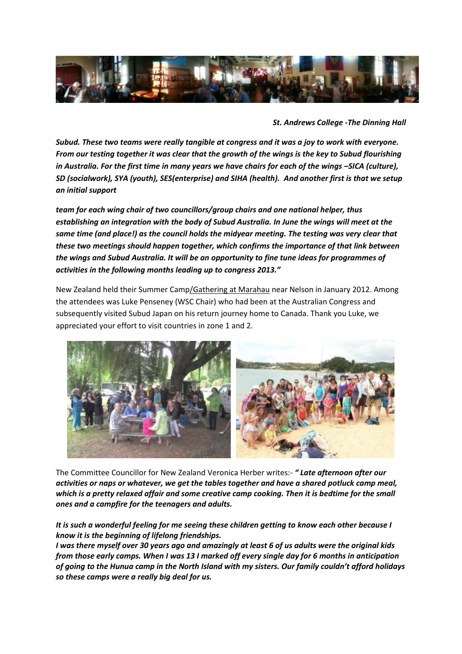

*St. Andrews College -The Dinning Hall* 

*Subud. These two teams were really tangible at congress and it was a joy to work with everyone. From our testing together it was clear that the growth of the wings is the key to Subud flourishing in Australia. For the first time in many years we have chairs for each of the wings -SICA (culture), SD (socialwork), SYA (youth), SES(enterprise) and SIHA (health). And another first is that we setup an initial support* 

*team for each wing chair of two councillors/group chairs and one national helper, thus establishing an integration with the body of Subud Australia. In June the wings will meet at the same time (and place!) as the council holds the midyear meeting. The testing was very clear that these two meetings should happen together, which confirms the importance of that link between the wings and Subud Australia. It will be an opportunity to fine tune ideas for programmes of activities in the following months leading up to congress 2013."*

New Zealand held their Summer Camp/Gathering at Marahau near Nelson in January 2012. Among the attendees was Luke Penseney (WSC Chair) who had been at the Australian Congress and subsequently visited Subud Japan on his return journey home to Canada. Thank you Luke, we appreciated your effort to visit countries in zone 1 and 2.



The Committee Councillor for New Zealand Veronica Herber writes:- *" Late afternoon after our activities or naps or whatever, we get the tables together and have a shared potluck camp meal, which is a pretty relaxed affair and some creative camp cooking. Then it is bedtime for the small ones and a campfire for the teenagers and adults.*

*It is such a wonderful feeling for me seeing these children getting to know each other because I know it is the beginning of lifelong friendships.*

*I was there myself over 30 years ago and amazingly at least 6 of us adults were the original kids from those early camps. When I was 13 I marked off every single day for 6 months in anticipation of going to the Hunua camp in the North Island with my sisters. Our family couldn't afford holidays so these camps were a really big deal for us.*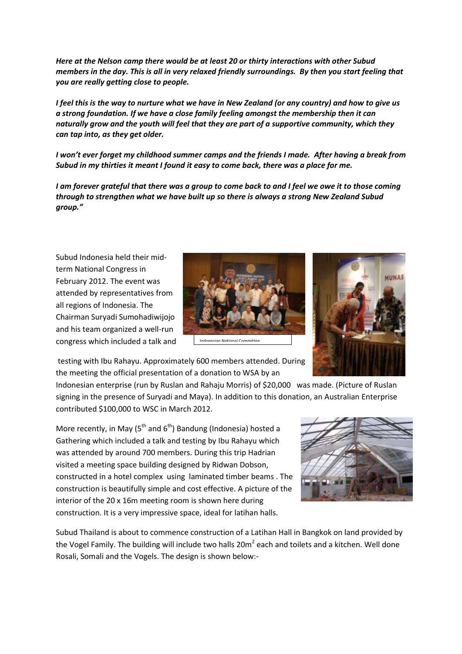*Here at the Nelson camp there would be at least 20 or thirty interactions with other Subud members in the day. This is all in very relaxed friendly surroundings. By then you start feeling that you are really getting close to people.*

*I feel this is the way to nurture what we have in New Zealand (or any country) and how to give us a strong foundation. If we have a close family feeling amongst the membership then it can naturally grow and the youth will feel that they are part of a supportive community, which they can tap into, as they get older.*

*I won't ever forget my childhood summer camps and the friends I made. After having a break from Subud in my thirties it meant I found it easy to come back, there was a place for me.*

*I* am forever grateful that there was a group to come back to and *I* feel we owe it to those coming *through to strengthen what we have built up so there is always a strong New Zealand Subud group."*

Subud Indonesia held their midterm National Congress in February 2012. The event was attended by representatives from all regions of Indonesia. The Chairman Suryadi Sumohadiwijojo and his team organized a well-run congress which included a talk and





testing with Ibu Rahayu. Approximately 600 members attended. During the meeting the official presentation of a donation to WSA by an

Indonesian enterprise (run by Ruslan and Rahaju Morris) of \$20,000 was made. (Picture of Ruslan signing in the presence of Suryadi and Maya). In addition to this donation, an Australian Enterprise contributed \$100,000 to WSC in March 2012.

More recently, in May  $(5<sup>th</sup>$  and  $6<sup>th</sup>$ ) Bandung (Indonesia) hosted a Gathering which included a talk and testing by Ibu Rahayu which was attended by around 700 members. During this trip Hadrian visited a meeting space building designed by Ridwan Dobson, constructed in a hotel complex using laminated timber beams . The construction is beautifully simple and cost effective. A picture of the interior of the 20 x 16m meeting room is shown here during construction. It is a very impressive space, ideal for latihan halls.



Subud Thailand is about to commence construction of a Latihan Hall in Bangkok on land provided by the Vogel Family. The building will include two halls 20m<sup>2</sup> each and toilets and a kitchen. Well done Rosali, Somali and the Vogels. The design is shown below:-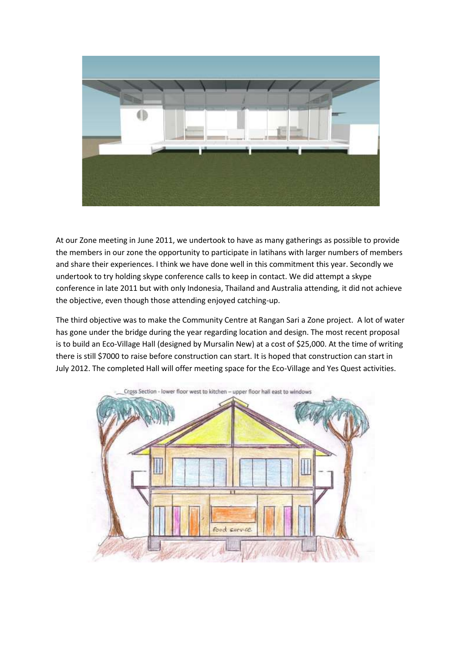

At our Zone meeting in June 2011, we undertook to have as many gatherings as possible to provide the members in our zone the opportunity to participate in latihans with larger numbers of members and share their experiences. I think we have done well in this commitment this year. Secondly we undertook to try holding skype conference calls to keep in contact. We did attempt a skype conference in late 2011 but with only Indonesia, Thailand and Australia attending, it did not achieve the objective, even though those attending enjoyed catching-up.

The third objective was to make the Community Centre at Rangan Sari a Zone project. A lot of water has gone under the bridge during the year regarding location and design. The most recent proposal is to build an Eco-Village Hall (designed by Mursalin New) at a cost of \$25,000. At the time of writing there is still \$7000 to raise before construction can start. It is hoped that construction can start in July 2012. The completed Hall will offer meeting space for the Eco-Village and Yes Quest activities.

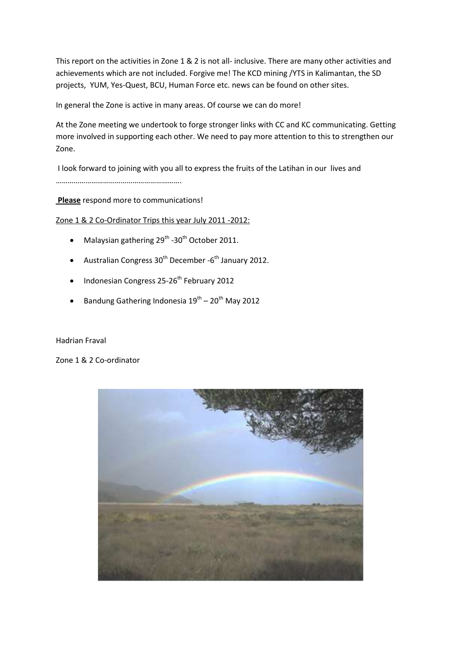This report on the activities in Zone 1 & 2 is not all- inclusive. There are many other activities and achievements which are not included. Forgive me! The KCD mining /YTS in Kalimantan, the SD projects, YUM, Yes-Quest, BCU, Human Force etc. news can be found on other sites.

In general the Zone is active in many areas. Of course we can do more!

At the Zone meeting we undertook to forge stronger links with CC and KC communicating. Getting more involved in supporting each other. We need to pay more attention to this to strengthen our Zone.

I look forward to joining with you all to express the fruits of the Latihan in our lives and ……………………………………………………….

**Please** respond more to communications!

Zone 1 & 2 Co-Ordinator Trips this year July 2011 -2012:

- Malaysian gathering  $29^{th}$  -30<sup>th</sup> October 2011.
- Australian Congress  $30^{th}$  December -6<sup>th</sup> January 2012.
- $\bullet$  Indonesian Congress 25-26<sup>th</sup> February 2012
- Bandung Gathering Indonesia  $19^{th}$   $20^{th}$  May 2012

## Hadrian Fraval

Zone 1 & 2 Co-ordinator